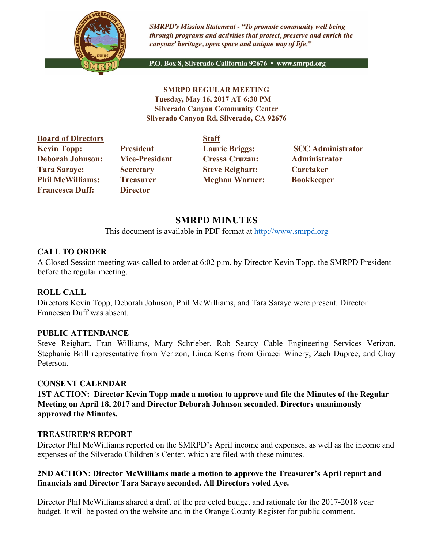

**SMRPD's Mission Statement - "To promote community well being** through programs and activities that protect, preserve and enrich the canyons' heritage, open space and unique way of life."

P.O. Box 8, Silverado California 92676 · www.smrpd.org

**SMRPD REGULAR MEETING Tuesday, May 16, 2017 AT 6:30 PM Silverado Canyon Community Center Silverado Canyon Rd, Silverado, CA 92676** 

| <b>Board of Directors</b>                         |                                     | <b>Staff</b>           |                          |
|---------------------------------------------------|-------------------------------------|------------------------|--------------------------|
| <b>Kevin Topp:</b>                                | <b>President</b>                    | <b>Laurie Briggs:</b>  | <b>SCC Administrator</b> |
| <b>Deborah Johnson:</b>                           | <b>Vice-President</b>               | <b>Cressa Cruzan:</b>  | Administrator            |
| <b>Tara Saraye:</b>                               | <b>Secretary</b>                    | <b>Steve Reighart:</b> | Caretaker                |
| <b>Phil McWilliams:</b><br><b>Francesca Duff:</b> | <b>Treasurer</b><br><b>Director</b> | <b>Meghan Warner:</b>  | <b>Bookkeeper</b>        |

# **SMRPD MINUTES**

This document is available in PDF format at http://www.smrpd.org

### **CALL TO ORDER**

A Closed Session meeting was called to order at 6:02 p.m. by Director Kevin Topp, the SMRPD President before the regular meeting.

### **ROLL CALL**

Directors Kevin Topp, Deborah Johnson, Phil McWilliams, and Tara Saraye were present. Director Francesca Duff was absent.

#### **PUBLIC ATTENDANCE**

Steve Reighart, Fran Williams, Mary Schrieber, Rob Searcy Cable Engineering Services Verizon, Stephanie Brill representative from Verizon, Linda Kerns from Giracci Winery, Zach Dupree, and Chay Peterson.

#### **CONSENT CALENDAR**

**1ST ACTION: Director Kevin Topp made a motion to approve and file the Minutes of the Regular Meeting on April 18, 2017 and Director Deborah Johnson seconded. Directors unanimously approved the Minutes.**

### **TREASURER'S REPORT**

Director Phil McWilliams reported on the SMRPD's April income and expenses, as well as the income and expenses of the Silverado Children's Center, which are filed with these minutes.

#### **2ND ACTION: Director McWilliams made a motion to approve the Treasurer's April report and financials and Director Tara Saraye seconded. All Directors voted Aye.**

Director Phil McWilliams shared a draft of the projected budget and rationale for the 2017-2018 year budget. It will be posted on the website and in the Orange County Register for public comment.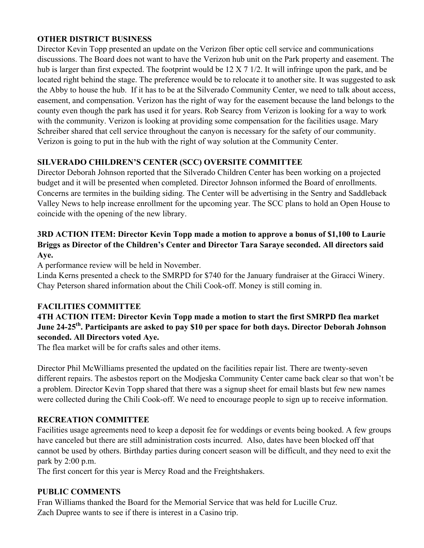## **OTHER DISTRICT BUSINESS**

Director Kevin Topp presented an update on the Verizon fiber optic cell service and communications discussions. The Board does not want to have the Verizon hub unit on the Park property and easement. The hub is larger than first expected. The footprint would be 12 X 7 1/2. It will infringe upon the park, and be located right behind the stage. The preference would be to relocate it to another site. It was suggested to ask the Abby to house the hub. If it has to be at the Silverado Community Center, we need to talk about access, easement, and compensation. Verizon has the right of way for the easement because the land belongs to the county even though the park has used it for years. Rob Searcy from Verizon is looking for a way to work with the community. Verizon is looking at providing some compensation for the facilities usage. Mary Schreiber shared that cell service throughout the canyon is necessary for the safety of our community. Verizon is going to put in the hub with the right of way solution at the Community Center.

# **SILVERADO CHILDREN'S CENTER (SCC) OVERSITE COMMITTEE**

Director Deborah Johnson reported that the Silverado Children Center has been working on a projected budget and it will be presented when completed. Director Johnson informed the Board of enrollments. Concerns are termites in the building siding. The Center will be advertising in the Sentry and Saddleback Valley News to help increase enrollment for the upcoming year. The SCC plans to hold an Open House to coincide with the opening of the new library.

# **3RD ACTION ITEM: Director Kevin Topp made a motion to approve a bonus of \$1,100 to Laurie Briggs as Director of the Children's Center and Director Tara Saraye seconded. All directors said Aye.**

A performance review will be held in November.

Linda Kerns presented a check to the SMRPD for \$740 for the January fundraiser at the Giracci Winery. Chay Peterson shared information about the Chili Cook-off. Money is still coming in.

# **FACILITIES COMMITTEE**

# **4TH ACTION ITEM: Director Kevin Topp made a motion to start the first SMRPD flea market June 24-25th. Participants are asked to pay \$10 per space for both days. Director Deborah Johnson seconded. All Directors voted Aye.**

The flea market will be for crafts sales and other items.

Director Phil McWilliams presented the updated on the facilities repair list. There are twenty-seven different repairs. The asbestos report on the Modjeska Community Center came back clear so that won't be a problem. Director Kevin Topp shared that there was a signup sheet for email blasts but few new names were collected during the Chili Cook-off. We need to encourage people to sign up to receive information.

# **RECREATION COMMITTEE**

Facilities usage agreements need to keep a deposit fee for weddings or events being booked. A few groups have canceled but there are still administration costs incurred. Also, dates have been blocked off that cannot be used by others. Birthday parties during concert season will be difficult, and they need to exit the park by 2:00 p.m.

The first concert for this year is Mercy Road and the Freightshakers.

# **PUBLIC COMMENTS**

Fran Williams thanked the Board for the Memorial Service that was held for Lucille Cruz. Zach Dupree wants to see if there is interest in a Casino trip.